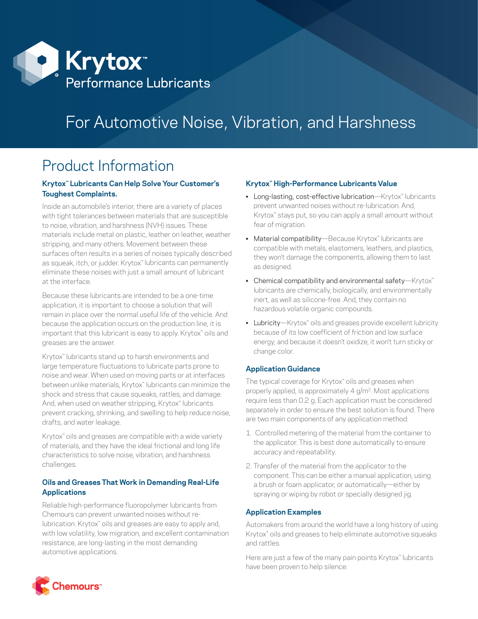

# For Automotive Noise, Vibration, and Harshness

## Product Information

#### **Krytox™ Lubricants Can Help Solve Your Customer's Toughest Complaints.**

Inside an automobile's interior, there are a variety of places with tight tolerances between materials that are susceptible to noise, vibration, and harshness (NVH) issues. These materials include metal on plastic, leather on leather, weather stripping, and many others. Movement between these surfaces often results in a series of noises typically described as squeak, itch, or judder. Krytox™ lubricants can permanently eliminate these noises with just a small amount of lubricant at the interface.

Because these lubricants are intended to be a one-time application, it is important to choose a solution that will remain in place over the normal useful life of the vehicle. And because the application occurs on the production line, it is important that this lubricant is easy to apply. Krytox™ oils and greases are the answer.

Krytox™ lubricants stand up to harsh environments and large temperature fluctuations to lubricate parts prone to noise and wear. When used on moving parts or at interfaces between unlike materials, Krytox™ lubricants can minimize the shock and stress that cause squeaks, rattles, and damage. And, when used on weather stripping, Krytox™ lubricants prevent cracking, shrinking, and swelling to help reduce noise, drafts, and water leakage.

Krytox<sup>™</sup> oils and greases are compatible with a wide variety of materials, and they have the ideal frictional and long life characteristics to solve noise, vibration, and harshness challenges.

### **Oils and Greases That Work in Demanding Real-Life Applications**

Reliable high-performance fluoropolymer lubricants from Chemours can prevent unwanted noises without relubrication. Krytox™ oils and greases are easy to apply and, with low volatility, low migration, and excellent contamination resistance, are long-lasting in the most demanding automotive applications.

#### **Krytox™ High-Performance Lubricants Value**

- Long-lasting, cost-effective lubrication—Krytox<sup>™</sup> lubricants prevent unwanted noises without re-lubrication. And, Krytox<sup>™</sup> stays put, so you can apply a small amount without fear of migration.
- Material compatibility—Because Krytox™ lubricants are compatible with metals, elastomers, leathers, and plastics, they won't damage the components, allowing them to last as designed.
- Chemical compatibility and environmental safety—Krytox<sup>™</sup> lubricants are chemically, biologically, and environmentally inert, as well as silicone-free. And, they contain no hazardous volatile organic compounds.
- Lubricity—Krytox<sup>™</sup> oils and greases provide excellent lubricity because of its low coefficient of friction and low surface energy; and because it doesn't oxidize, it won't turn sticky or change color.

#### **Application Guidance**

The typical coverage for Krytox™ oils and greases when properly applied, is approximately 4 g/m2. Most applications require less than 0.2 g. Each application must be considered separately in order to ensure the best solution is found. There are two main components of any application method:

- 1. Controlled metering of the material from the container to the applicator. This is best done automatically to ensure accuracy and repeatability.
- 2. Transfer of the material from the applicator to the component. This can be either a manual application, using a brush or foam applicator, or automatically—either by spraying or wiping by robot or specially designed jig.

#### **Application Examples**

Automakers from around the world have a long history of using Krytox™ oils and greases to help eliminate automotive squeaks and rattles.

Here are just a few of the many pain points Krytox™ lubricants have been proven to help silence: